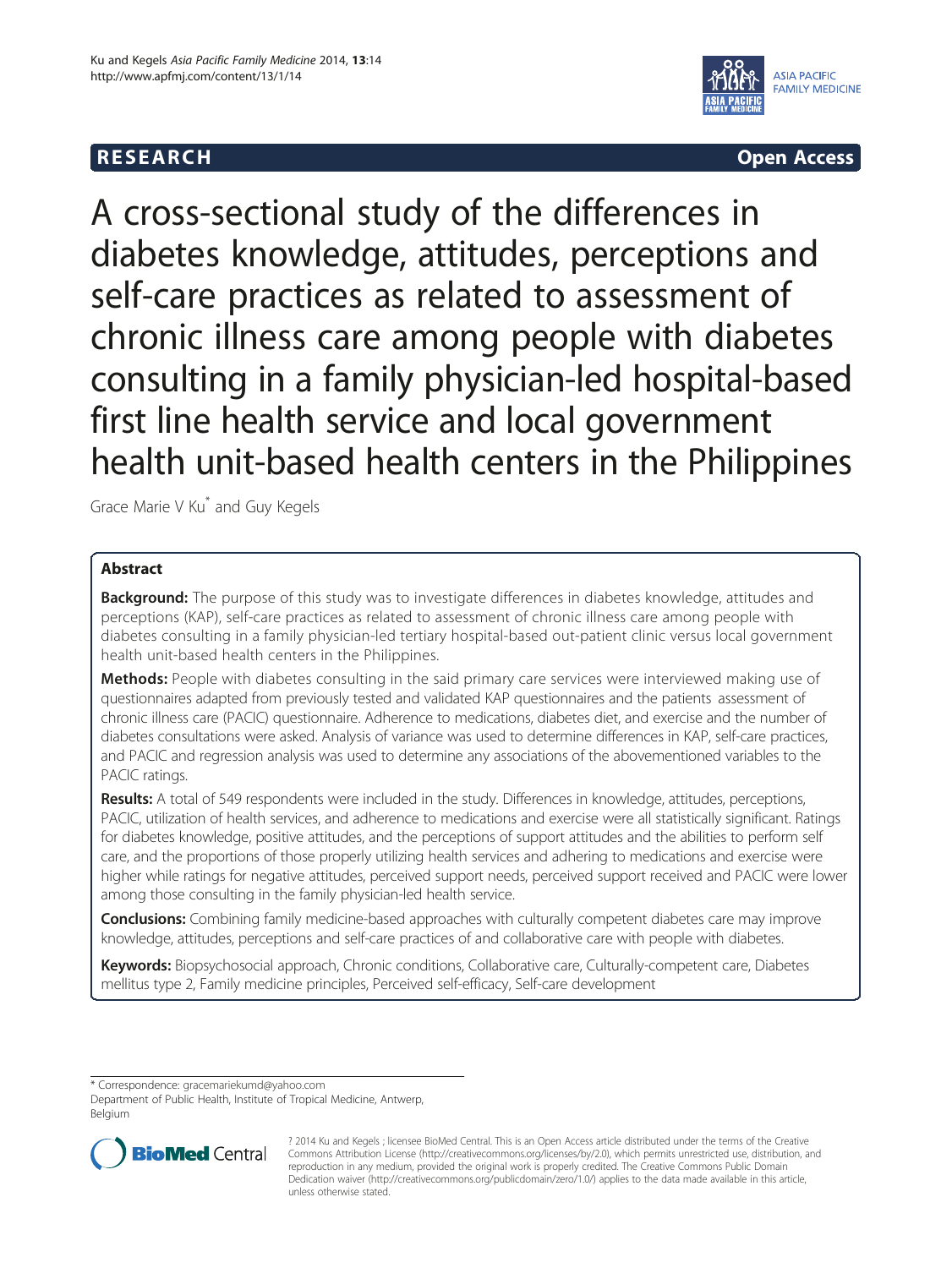## R E S EAR CH Open Access



A cross-sectional study of the differences in diabetes knowledge, attitudes, perceptions and self-care practices as related to assessment of chronic illness care among people with diabetes consulting in a family physician-led hospital-based first line health service and local government health unit-based health centers in the Philippines

Grace Marie V Ku\* and Guy Kegels

## **Abstract**

**Background:** The purpose of this study was to investigate differences in diabetes knowledge, attitudes and perceptions (KAP), self-care practices as related to assessment of chronic illness care among people with diabetes consulting in a family physician-led tertiary hospital-based out-patient clinic versus local government health unit-based health centers in the Philippines.

**Methods:** People with diabetes consulting in the said primary care services were interviewed making use of questionnaires adapted from previously tested and validated KAP questionnaires and the patients assessment of chronic illness care (PACIC) questionnaire. Adherence to medications, diabetes diet, and exercise and the number of diabetes consultations were asked. Analysis of variance was used to determine differences in KAP, self-care practices, and PACIC and regression analysis was used to determine any associations of the abovementioned variables to the PACIC ratings.

Results: A total of 549 respondents were included in the study. Differences in knowledge, attitudes, perceptions, PACIC, utilization of health services, and adherence to medications and exercise were all statistically significant. Ratings for diabetes knowledge, positive attitudes, and the perceptions of support attitudes and the abilities to perform self care, and the proportions of those properly utilizing health services and adhering to medications and exercise were higher while ratings for negative attitudes, perceived support needs, perceived support received and PACIC were lower among those consulting in the family physician-led health service.

**Conclusions:** Combining family medicine-based approaches with culturally competent diabetes care may improve knowledge, attitudes, perceptions and self-care practices of and collaborative care with people with diabetes.

Keywords: Biopsychosocial approach, Chronic conditions, Collaborative care, Culturally-competent care, Diabetes mellitus type 2, Family medicine principles, Perceived self-efficacy, Self-care development

\* Correspondence: [gracemariekumd@yahoo.com](mailto:gracemariekumd@yahoo.com)

Department of Public Health, Institute of Tropical Medicine, Antwerp, Belgium



<sup>? 2014</sup> Ku and Kegels ; licensee BioMed Central. This is an Open Access article distributed under the terms of the Creative Commons Attribution License [\(http://creativecommons.org/licenses/by/2.0\)](http://creativecommons.org/licenses/by/2.0), which permits unrestricted use, distribution, and reproduction in any medium, provided the original work is properly credited. The Creative Commons Public Domain Dedication waiver [\(http://creativecommons.org/publicdomain/zero/1.0/](http://creativecommons.org/publicdomain/zero/1.0/)) applies to the data made available in this article, unless otherwise stated.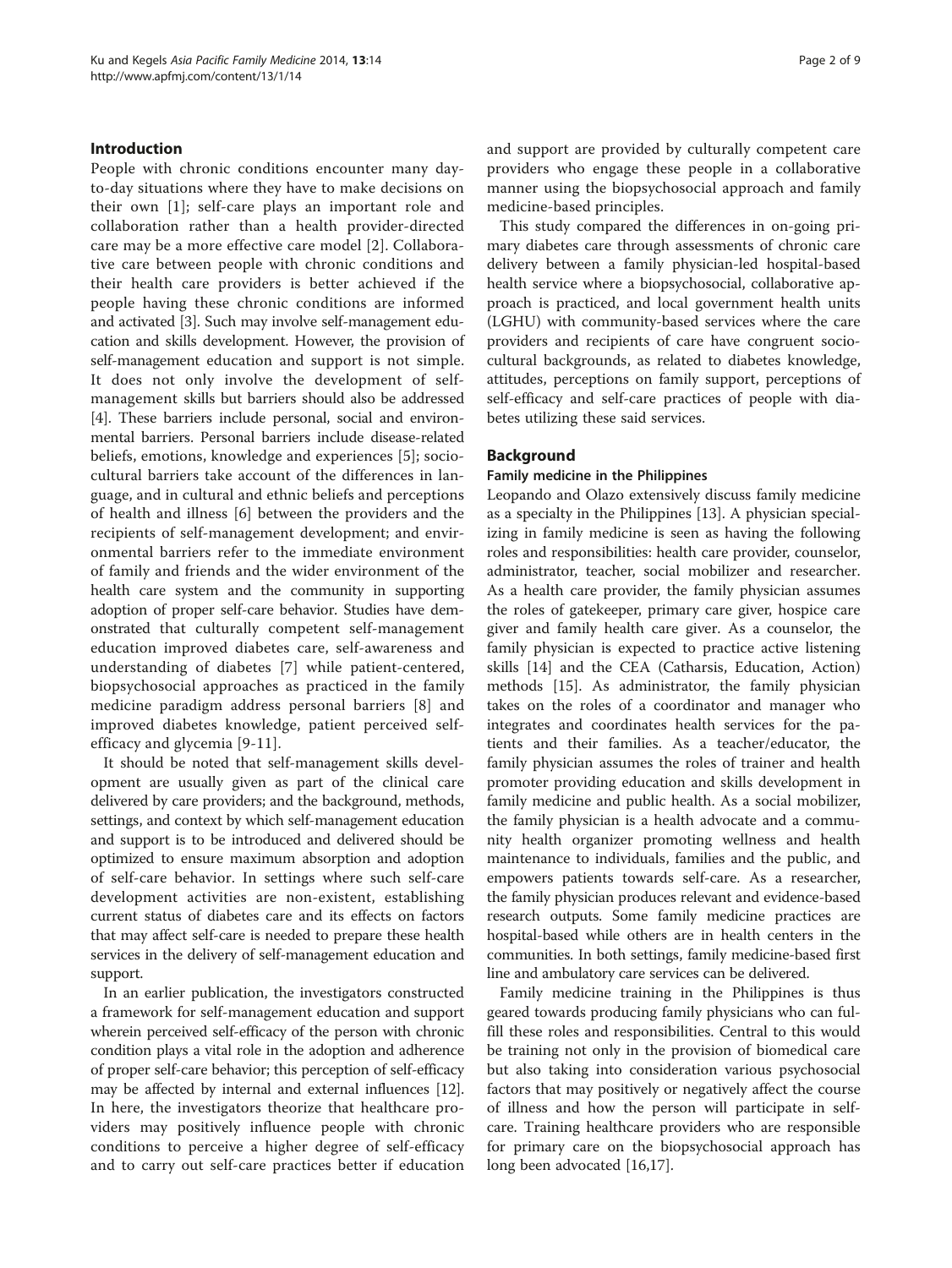## Introduction

People with chronic conditions encounter many dayto-day situations where they have to make decisions on their own [[1](#page-7-0)]; self-care plays an important role and collaboration rather than a health provider-directed care may be a more effective care model [[2\]](#page-7-0). Collaborative care between people with chronic conditions and their health care providers is better achieved if the people having these chronic conditions are informed and activated [\[3](#page-7-0)]. Such may involve self-management education and skills development. However, the provision of self-management education and support is not simple. It does not only involve the development of selfmanagement skills but barriers should also be addressed [[4\]](#page-7-0). These barriers include personal, social and environmental barriers. Personal barriers include disease-related beliefs, emotions, knowledge and experiences [\[5](#page-7-0)]; sociocultural barriers take account of the differences in language, and in cultural and ethnic beliefs and perceptions of health and illness [\[6](#page-8-0)] between the providers and the recipients of self-management development; and environmental barriers refer to the immediate environment of family and friends and the wider environment of the health care system and the community in supporting adoption of proper self-care behavior. Studies have demonstrated that culturally competent self-management education improved diabetes care, self-awareness and understanding of diabetes [\[7](#page-8-0)] while patient-centered, biopsychosocial approaches as practiced in the family medicine paradigm address personal barriers [[8](#page-8-0)] and improved diabetes knowledge, patient perceived selfefficacy and glycemia [[9-11\]](#page-8-0).

It should be noted that self-management skills development are usually given as part of the clinical care delivered by care providers; and the background, methods, settings, and context by which self-management education and support is to be introduced and delivered should be optimized to ensure maximum absorption and adoption of self-care behavior. In settings where such self-care development activities are non-existent, establishing current status of diabetes care and its effects on factors that may affect self-care is needed to prepare these health services in the delivery of self-management education and support.

In an earlier publication, the investigators constructed a framework for self-management education and support wherein perceived self-efficacy of the person with chronic condition plays a vital role in the adoption and adherence of proper self-care behavior; this perception of self-efficacy may be affected by internal and external influences [[12](#page-8-0)]. In here, the investigators theorize that healthcare providers may positively influence people with chronic conditions to perceive a higher degree of self-efficacy and to carry out self-care practices better if education and support are provided by culturally competent care providers who engage these people in a collaborative manner using the biopsychosocial approach and family medicine-based principles.

This study compared the differences in on-going primary diabetes care through assessments of chronic care delivery between a family physician-led hospital-based health service where a biopsychosocial, collaborative approach is practiced, and local government health units (LGHU) with community-based services where the care providers and recipients of care have congruent sociocultural backgrounds, as related to diabetes knowledge, attitudes, perceptions on family support, perceptions of self-efficacy and self-care practices of people with diabetes utilizing these said services.

## Background

## Family medicine in the Philippines

Leopando and Olazo extensively discuss family medicine as a specialty in the Philippines [[13\]](#page-8-0). A physician specializing in family medicine is seen as having the following roles and responsibilities: health care provider, counselor, administrator, teacher, social mobilizer and researcher. As a health care provider, the family physician assumes the roles of gatekeeper, primary care giver, hospice care giver and family health care giver. As a counselor, the family physician is expected to practice active listening skills [[14\]](#page-8-0) and the CEA (Catharsis, Education, Action) methods [\[15](#page-8-0)]. As administrator, the family physician takes on the roles of a coordinator and manager who integrates and coordinates health services for the patients and their families. As a teacher/educator, the family physician assumes the roles of trainer and health promoter providing education and skills development in family medicine and public health. As a social mobilizer, the family physician is a health advocate and a community health organizer promoting wellness and health maintenance to individuals, families and the public, and empowers patients towards self-care. As a researcher, the family physician produces relevant and evidence-based research outputs. Some family medicine practices are hospital-based while others are in health centers in the communities. In both settings, family medicine-based first line and ambulatory care services can be delivered.

Family medicine training in the Philippines is thus geared towards producing family physicians who can fulfill these roles and responsibilities. Central to this would be training not only in the provision of biomedical care but also taking into consideration various psychosocial factors that may positively or negatively affect the course of illness and how the person will participate in selfcare. Training healthcare providers who are responsible for primary care on the biopsychosocial approach has long been advocated [[16](#page-8-0),[17](#page-8-0)].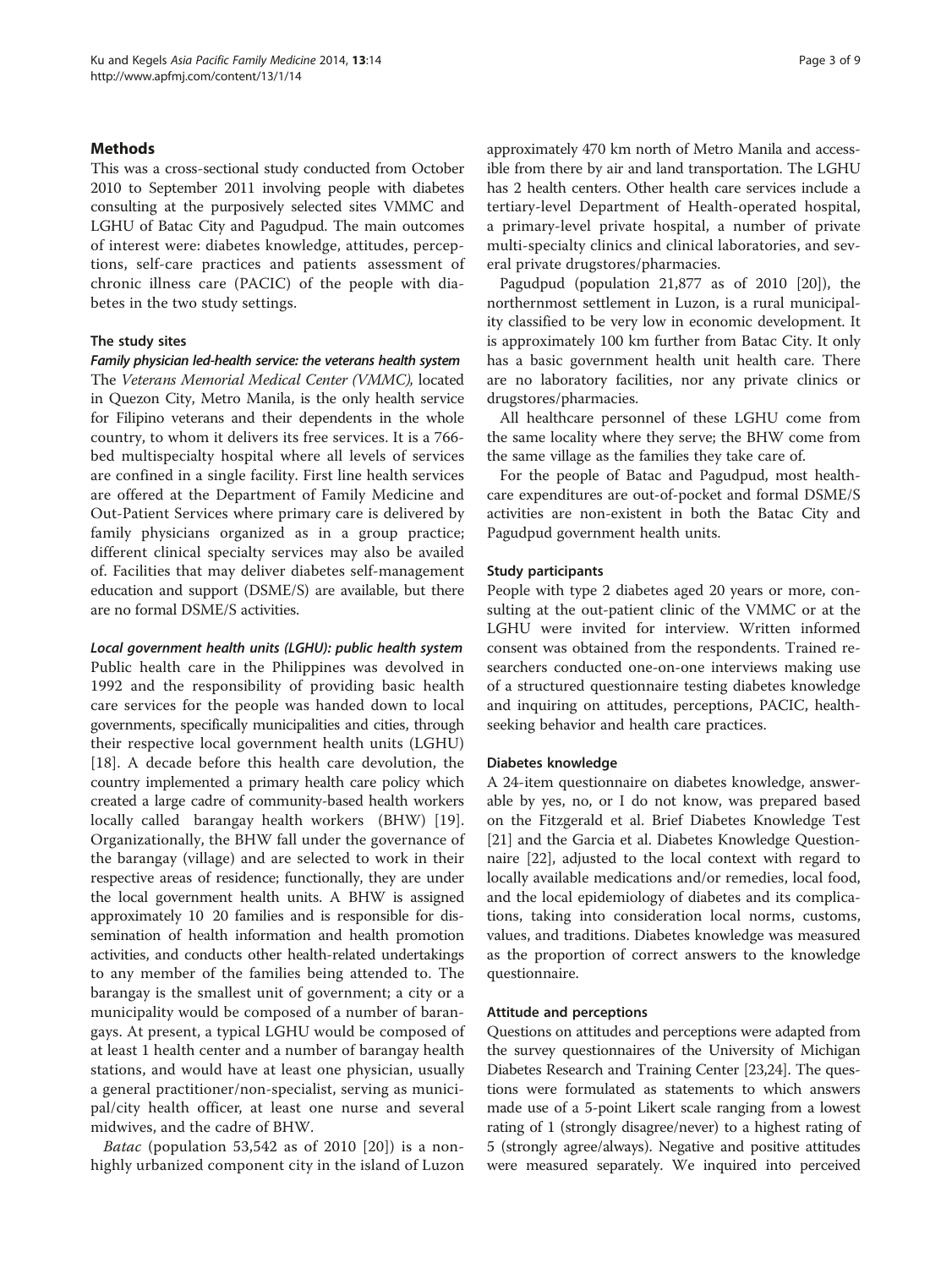## **Methods**

This was a cross-sectional study conducted from October 2010 to September 2011 involving people with diabetes consulting at the purposively selected sites VMMC and LGHU of Batac City and Pagudpud. The main outcomes of interest were: diabetes knowledge, attitudes, perceptions, self-care practices and patients assessment of chronic illness care (PACIC) of the people with diabetes in the two study settings.

## The study sites

Family physician led-health service: the veterans health system The Veterans Memorial Medical Center (VMMC), located in Quezon City, Metro Manila, is the only health service for Filipino veterans and their dependents in the whole country, to whom it delivers its free services. It is a 766 bed multispecialty hospital where all levels of services are confined in a single facility. First line health services are offered at the Department of Family Medicine and Out-Patient Services where primary care is delivered by family physicians organized as in a group practice; different clinical specialty services may also be availed of. Facilities that may deliver diabetes self-management education and support (DSME/S) are available, but there are no formal DSME/S activities.

Local government health units (LGHU): public health system Public health care in the Philippines was devolved in 1992 and the responsibility of providing basic health care services for the people was handed down to local governments, specifically municipalities and cities, through their respective local government health units (LGHU) [[18\]](#page-8-0). A decade before this health care devolution, the country implemented a primary health care policy which created a large cadre of community-based health workers locally called barangay health workers (BHW) [[19](#page-8-0)]. Organizationally, the BHW fall under the governance of the barangay (village) and are selected to work in their respective areas of residence; functionally, they are under the local government health units. A BHW is assigned approximately 10 20 families and is responsible for dissemination of health information and health promotion activities, and conducts other health-related undertakings to any member of the families being attended to. The barangay is the smallest unit of government; a city or a municipality would be composed of a number of barangays. At present, a typical LGHU would be composed of at least 1 health center and a number of barangay health stations, and would have at least one physician, usually a general practitioner/non-specialist, serving as municipal/city health officer, at least one nurse and several midwives, and the cadre of BHW.

*Batac* (population 53,542 as of 2010 [\[20\]](#page-8-0)) is a nonhighly urbanized component city in the island of Luzon

approximately 470 km north of Metro Manila and accessible from there by air and land transportation. The LGHU has 2 health centers. Other health care services include a tertiary-level Department of Health-operated hospital, a primary-level private hospital, a number of private multi-specialty clinics and clinical laboratories, and several private drugstores/pharmacies.

Pagudpud (population 21,877 as of 2010 [[20](#page-8-0)]), the northernmost settlement in Luzon, is a rural municipality classified to be very low in economic development. It is approximately 100 km further from Batac City. It only has a basic government health unit health care. There are no laboratory facilities, nor any private clinics or drugstores/pharmacies.

All healthcare personnel of these LGHU come from the same locality where they serve; the BHW come from the same village as the families they take care of.

For the people of Batac and Pagudpud, most healthcare expenditures are out-of-pocket and formal DSME/S activities are non-existent in both the Batac City and Pagudpud government health units.

## Study participants

People with type 2 diabetes aged 20 years or more, consulting at the out-patient clinic of the VMMC or at the LGHU were invited for interview. Written informed consent was obtained from the respondents. Trained researchers conducted one-on-one interviews making use of a structured questionnaire testing diabetes knowledge and inquiring on attitudes, perceptions, PACIC, healthseeking behavior and health care practices.

## Diabetes knowledge

A 24-item questionnaire on diabetes knowledge, answerable by yes, no, or I do not know, was prepared based on the Fitzgerald et al. Brief Diabetes Knowledge Test [[21\]](#page-8-0) and the Garcia et al. Diabetes Knowledge Questionnaire [[22](#page-8-0)], adjusted to the local context with regard to locally available medications and/or remedies, local food, and the local epidemiology of diabetes and its complications, taking into consideration local norms, customs, values, and traditions. Diabetes knowledge was measured as the proportion of correct answers to the knowledge questionnaire.

#### Attitude and perceptions

Questions on attitudes and perceptions were adapted from the survey questionnaires of the University of Michigan Diabetes Research and Training Center [[23,24\]](#page-8-0). The questions were formulated as statements to which answers made use of a 5-point Likert scale ranging from a lowest rating of 1 (strongly disagree/never) to a highest rating of 5 (strongly agree/always). Negative and positive attitudes were measured separately. We inquired into perceived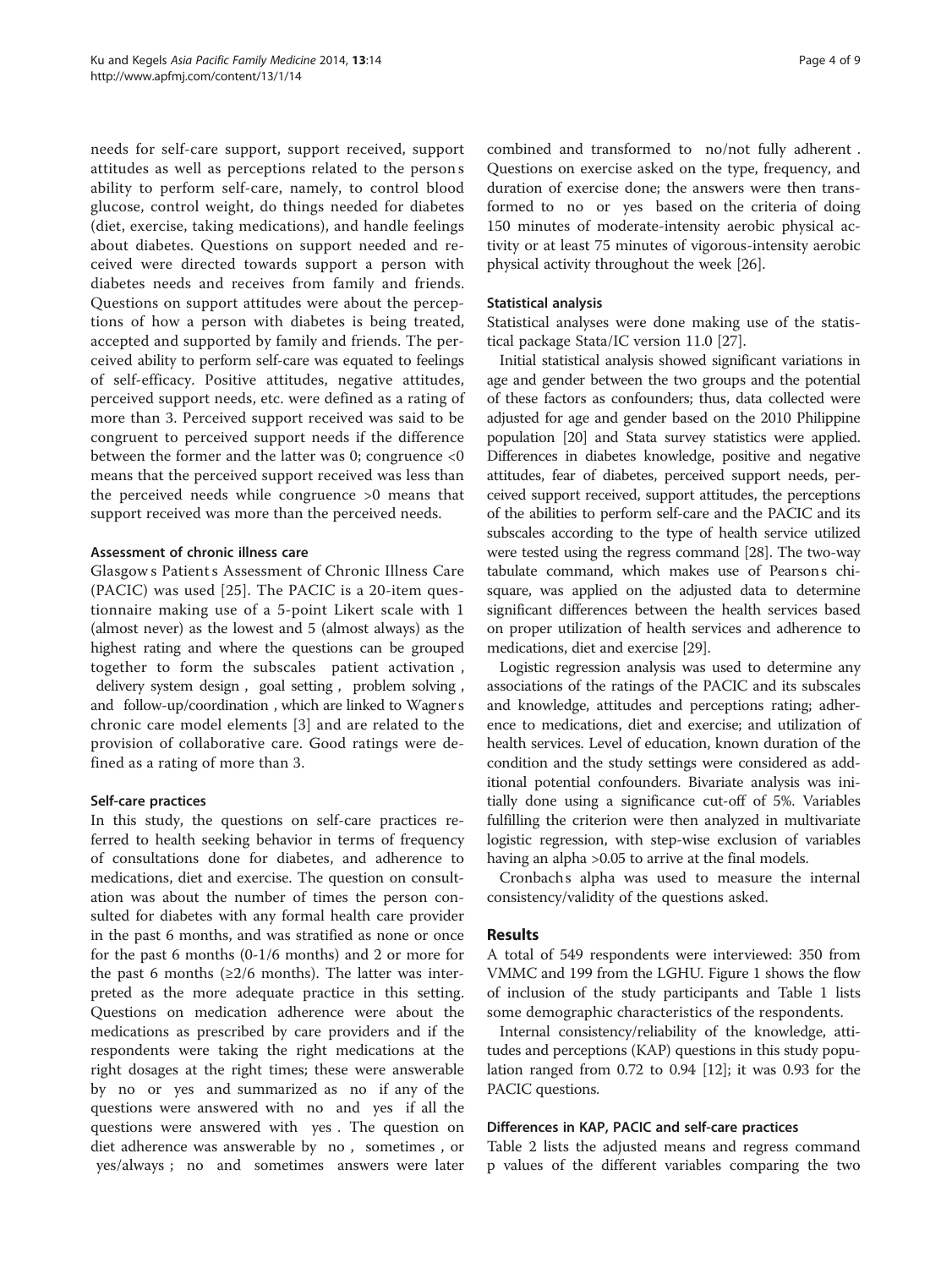needs for self-care support, support received, support attitudes as well as perceptions related to the person s ability to perform self-care, namely, to control blood glucose, control weight, do things needed for diabetes (diet, exercise, taking medications), and handle feelings about diabetes. Questions on support needed and received were directed towards support a person with diabetes needs and receives from family and friends. Questions on support attitudes were about the perceptions of how a person with diabetes is being treated, accepted and supported by family and friends. The perceived ability to perform self-care was equated to feelings of self-efficacy. Positive attitudes, negative attitudes, perceived support needs, etc. were defined as a rating of more than 3. Perceived support received was said to be congruent to perceived support needs if the difference between the former and the latter was 0; congruence <0 means that the perceived support received was less than the perceived needs while congruence >0 means that support received was more than the perceived needs.

## Assessment of chronic illness care

Glasgow s Patients Assessment of Chronic Illness Care (PACIC) was used [\[25](#page-8-0)]. The PACIC is a 20-item questionnaire making use of a 5-point Likert scale with 1 (almost never) as the lowest and 5 (almost always) as the highest rating and where the questions can be grouped together to form the subscales patient activation , delivery system design , goal setting , problem solving , and follow-up/coordination , which are linked to Wagners chronic care model elements [[3\]](#page-7-0) and are related to the provision of collaborative care. Good ratings were defined as a rating of more than 3.

## Self-care practices

In this study, the questions on self-care practices referred to health seeking behavior in terms of frequency of consultations done for diabetes, and adherence to medications, diet and exercise. The question on consultation was about the number of times the person consulted for diabetes with any formal health care provider in the past 6 months, and was stratified as none or once for the past 6 months (0-1/6 months) and 2 or more for the past 6 months  $(\geq 2/6$  months). The latter was interpreted as the more adequate practice in this setting. Questions on medication adherence were about the medications as prescribed by care providers and if the respondents were taking the right medications at the right dosages at the right times; these were answerable by no or yes and summarized as no if any of the questions were answered with no and yes if all the questions were answered with yes . The question on diet adherence was answerable by no , sometimes , or yes/always ; no and sometimes answers were later

combined and transformed to no/not fully adherent . Questions on exercise asked on the type, frequency, and duration of exercise done; the answers were then transformed to no or yes based on the criteria of doing 150 minutes of moderate-intensity aerobic physical activity or at least 75 minutes of vigorous-intensity aerobic physical activity throughout the week [\[26\]](#page-8-0).

## Statistical analysis

Statistical analyses were done making use of the statistical package Stata/IC version 11.0 [[27\]](#page-8-0).

Initial statistical analysis showed significant variations in age and gender between the two groups and the potential of these factors as confounders; thus, data collected were adjusted for age and gender based on the 2010 Philippine population [\[20\]](#page-8-0) and Stata survey statistics were applied. Differences in diabetes knowledge, positive and negative attitudes, fear of diabetes, perceived support needs, perceived support received, support attitudes, the perceptions of the abilities to perform self-care and the PACIC and its subscales according to the type of health service utilized were tested using the regress command [[28](#page-8-0)]. The two-way tabulate command, which makes use of Pearsons chisquare, was applied on the adjusted data to determine significant differences between the health services based on proper utilization of health services and adherence to medications, diet and exercise [\[29\]](#page-8-0).

Logistic regression analysis was used to determine any associations of the ratings of the PACIC and its subscales and knowledge, attitudes and perceptions rating; adherence to medications, diet and exercise; and utilization of health services. Level of education, known duration of the condition and the study settings were considered as additional potential confounders. Bivariate analysis was initially done using a significance cut-off of 5%. Variables fulfilling the criterion were then analyzed in multivariate logistic regression, with step-wise exclusion of variables having an alpha > 0.05 to arrive at the final models.

Cronbachs alpha was used to measure the internal consistency/validity of the questions asked.

## Results

A total of 549 respondents were interviewed: 350 from VMMC and 199 from the LGHU. Figure [1](#page-4-0) shows the flow of inclusion of the study participants and Table [1](#page-4-0) lists some demographic characteristics of the respondents.

Internal consistency/reliability of the knowledge, attitudes and perceptions (KAP) questions in this study population ranged from 0.72 to 0.94 [[12](#page-8-0)]; it was 0.93 for the PACIC questions.

## Differences in KAP, PACIC and self-care practices

Table [2](#page-5-0) lists the adjusted means and regress command p values of the different variables comparing the two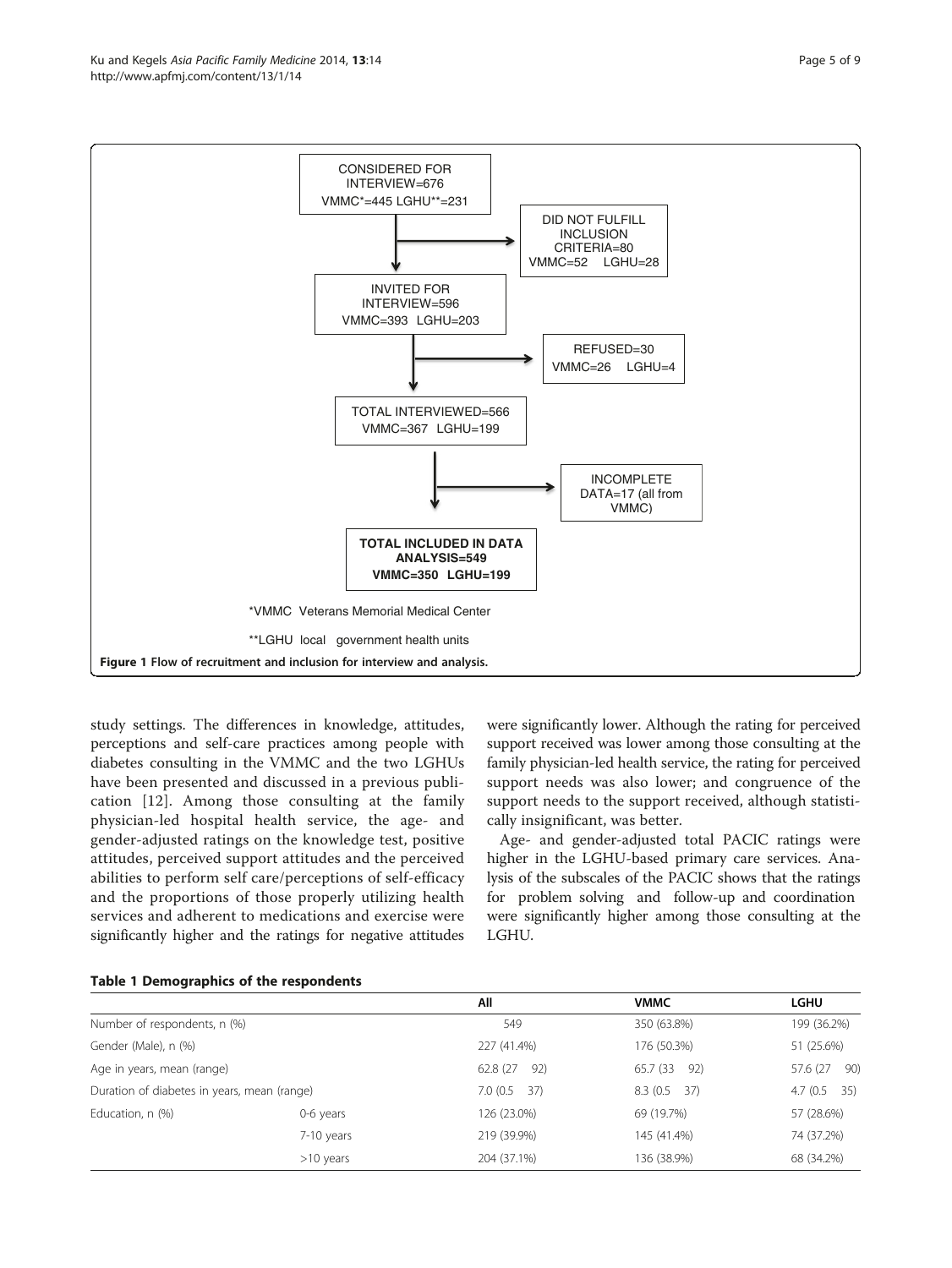<span id="page-4-0"></span>

study settings. The differences in knowledge, attitudes, perceptions and self-care practices among people with diabetes consulting in the VMMC and the two LGHUs have been presented and discussed in a previous publication [\[12](#page-8-0)]. Among those consulting at the family physician-led hospital health service, the age- and gender-adjusted ratings on the knowledge test, positive attitudes, perceived support attitudes and the perceived abilities to perform self care/perceptions of self-efficacy and the proportions of those properly utilizing health services and adherent to medications and exercise were significantly higher and the ratings for negative attitudes

were significantly lower. Although the rating for perceived support received was lower among those consulting at the family physician-led health service, the rating for perceived support needs was also lower; and congruence of the support needs to the support received, although statistically insignificant, was better.

Age- and gender-adjusted total PACIC ratings were higher in the LGHU-based primary care services. Analysis of the subscales of the PACIC shows that the ratings for problem solving and follow-up and coordination were significantly higher among those consulting at the LGHU.

|                                             |             | All              | <b>VMMC</b>      | LGHU            |
|---------------------------------------------|-------------|------------------|------------------|-----------------|
| Number of respondents, n (%)                |             | 549              | 350 (63.8%)      | 199 (36.2%)     |
| Gender (Male), n (%)                        |             | 227 (41.4%)      | 176 (50.3%)      | 51 (25.6%)      |
| Age in years, mean (range)                  |             | 62.8 (27)<br>92) | 65.7 (33)<br>92) | 57.6 (27<br>90) |
| Duration of diabetes in years, mean (range) |             | 7.0(0.5 37)      | 8.3(0.5 37)      | 4.7 (0.5<br>35) |
| Education, n (%)                            | 0-6 years   | 126 (23.0%)      | 69 (19.7%)       | 57 (28.6%)      |
|                                             | 7-10 years  | 219 (39.9%)      | 145 (41.4%)      | 74 (37.2%)      |
|                                             | $>10$ years | 204 (37.1%)      | 136 (38.9%)      | 68 (34.2%)      |

## Table 1 Demographics of the respondents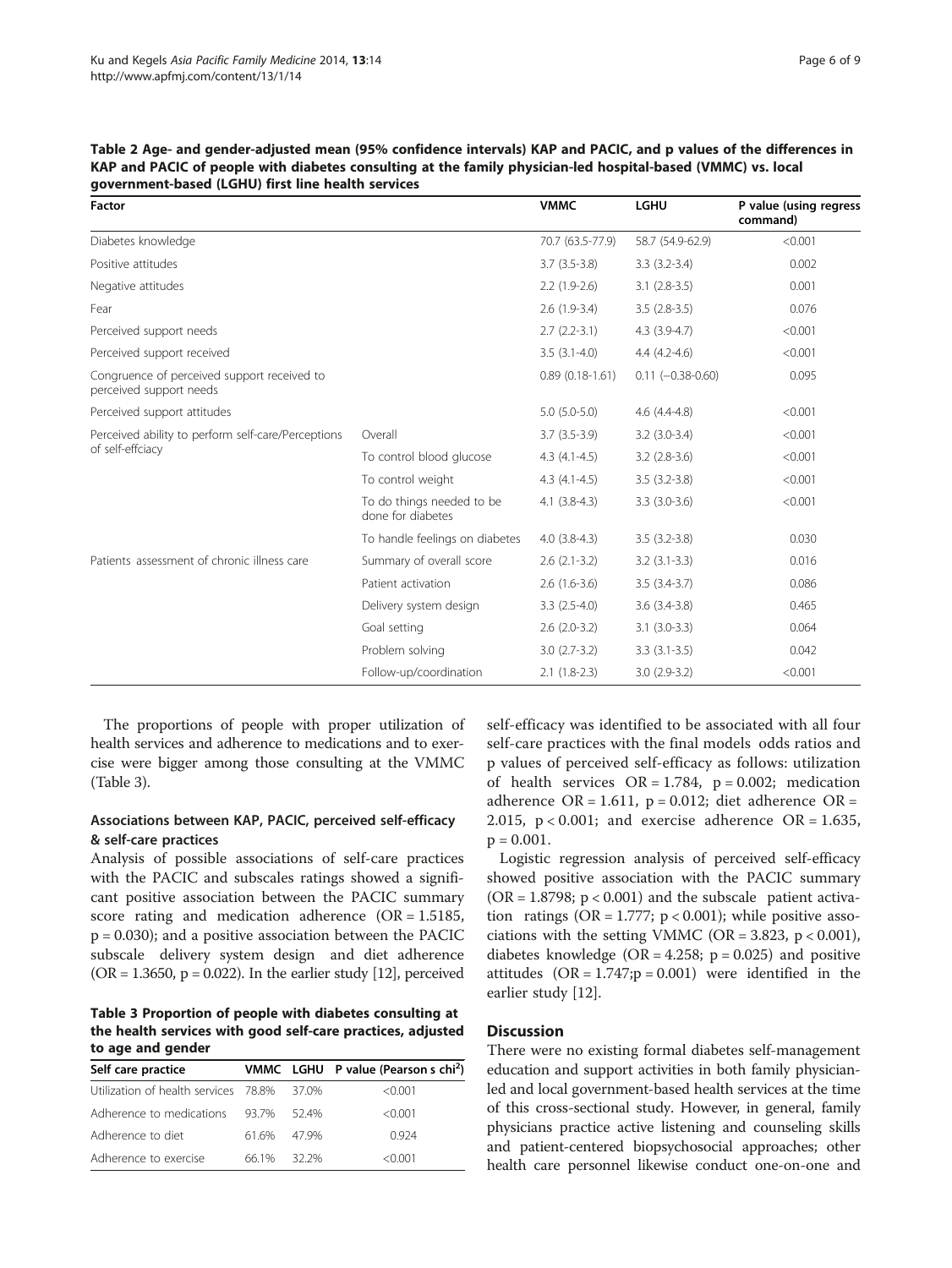| <b>Factor</b>                                                          |                                                | <b>VMMC</b>       | <b>LGHU</b>           | P value (using regress<br>command) |
|------------------------------------------------------------------------|------------------------------------------------|-------------------|-----------------------|------------------------------------|
| Diabetes knowledge                                                     | 70.7 (63.5-77.9)                               | 58.7 (54.9-62.9)  | < 0.001               |                                    |
| Positive attitudes                                                     |                                                | $3.7(3.5-3.8)$    | $3.3(3.2-3.4)$        | 0.002                              |
| Negative attitudes                                                     |                                                | $2.2(1.9-2.6)$    | $3.1(2.8-3.5)$        | 0.001                              |
| Fear                                                                   |                                                | $2.6(1.9-3.4)$    | $3.5(2.8-3.5)$        | 0.076                              |
| Perceived support needs                                                |                                                | $2.7(2.2-3.1)$    | $4.3(3.9-4.7)$        | < 0.001                            |
| Perceived support received                                             |                                                | $3.5(3.1-4.0)$    | $4.4(4.2-4.6)$        | < 0.001                            |
| Congruence of perceived support received to<br>perceived support needs |                                                | $0.89(0.18-1.61)$ | $0.11 (-0.38 - 0.60)$ | 0.095                              |
| Perceived support attitudes                                            |                                                | $5.0(5.0-5.0)$    | $4.6(4.4-4.8)$        | < 0.001                            |
| Perceived ability to perform self-care/Perceptions                     | Overall                                        | $3.7(3.5-3.9)$    | $3.2(3.0-3.4)$        | < 0.001                            |
| of self-effciacy                                                       | To control blood glucose                       | $4.3(4.1-4.5)$    | $3.2$ (2.8-3.6)       | < 0.001                            |
|                                                                        | To control weight                              | $4.3(4.1-4.5)$    | $3.5(3.2-3.8)$        | < 0.001                            |
|                                                                        | To do things needed to be<br>done for diabetes | $4.1(3.8-4.3)$    | $3.3(3.0-3.6)$        | < 0.001                            |
|                                                                        | To handle feelings on diabetes                 | $4.0(3.8-4.3)$    | $3.5(3.2-3.8)$        | 0.030                              |
| Patients assessment of chronic illness care                            | Summary of overall score                       | $2.6(2.1-3.2)$    | $3.2(3.1-3.3)$        | 0.016                              |
|                                                                        | Patient activation                             | $2.6(1.6-3.6)$    | $3.5(3.4-3.7)$        | 0.086                              |
|                                                                        | Delivery system design                         | $3.3(2.5-4.0)$    | $3.6(3.4-3.8)$        | 0.465                              |
|                                                                        | Goal setting                                   | $2.6(2.0-3.2)$    | $3.1(3.0-3.3)$        | 0.064                              |
|                                                                        | Problem solving                                | $3.0(2.7-3.2)$    | $3.3(3.1-3.5)$        | 0.042                              |
|                                                                        | Follow-up/coordination                         | $2.1(1.8-2.3)$    | $3.0(2.9-3.2)$        | < 0.001                            |

<span id="page-5-0"></span>Table 2 Age- and gender-adjusted mean (95% confidence intervals) KAP and PACIC, and p values of the differences in KAP and PACIC of people with diabetes consulting at the family physician-led hospital-based (VMMC) vs. local government-based (LGHU) first line health services

The proportions of people with proper utilization of health services and adherence to medications and to exercise were bigger among those consulting at the VMMC (Table 3).

## Associations between KAP, PACIC, perceived self-efficacy & self-care practices

Analysis of possible associations of self-care practices with the PACIC and subscales ratings showed a significant positive association between the PACIC summary score rating and medication adherence  $(OR = 1.5185,$ p = 0.030); and a positive association between the PACIC subscale delivery system design and diet adherence  $(OR = 1.3650, p = 0.022)$ . In the earlier study [\[12\]](#page-8-0), perceived

Table 3 Proportion of people with diabetes consulting at the health services with good self-care practices, adjusted to age and gender

| Self care practice                   |       |       | VMMC LGHU P value (Pearson s $\text{chi}^2$ ) |
|--------------------------------------|-------|-------|-----------------------------------------------|
| Utilization of health services 78.8% |       | 370%  | < 0.001                                       |
| Adherence to medications             | 937%  | 524%  | < 0.001                                       |
| Adherence to diet                    | 61.6% | 47 9% | 0.924                                         |
| Adherence to exercise                | 661%  | 322%  | < 0.001                                       |

self-efficacy was identified to be associated with all four self-care practices with the final models odds ratios and p values of perceived self-efficacy as follows: utilization of health services  $OR = 1.784$ ,  $p = 0.002$ ; medication adherence OR = 1.611,  $p = 0.012$ ; diet adherence OR = 2.015,  $p < 0.001$ ; and exercise adherence OR = 1.635,  $p = 0.001$ .

Logistic regression analysis of perceived self-efficacy showed positive association with the PACIC summary  $(OR = 1.8798; p < 0.001)$  and the subscale patient activation ratings (OR = 1.777;  $p < 0.001$ ); while positive associations with the setting VMMC (OR = 3.823,  $p < 0.001$ ), diabetes knowledge ( $OR = 4.258$ ;  $p = 0.025$ ) and positive attitudes  $(OR = 1.747;p = 0.001)$  were identified in the earlier study [\[12](#page-8-0)].

## **Discussion**

There were no existing formal diabetes self-management education and support activities in both family physicianled and local government-based health services at the time of this cross-sectional study. However, in general, family physicians practice active listening and counseling skills and patient-centered biopsychosocial approaches; other health care personnel likewise conduct one-on-one and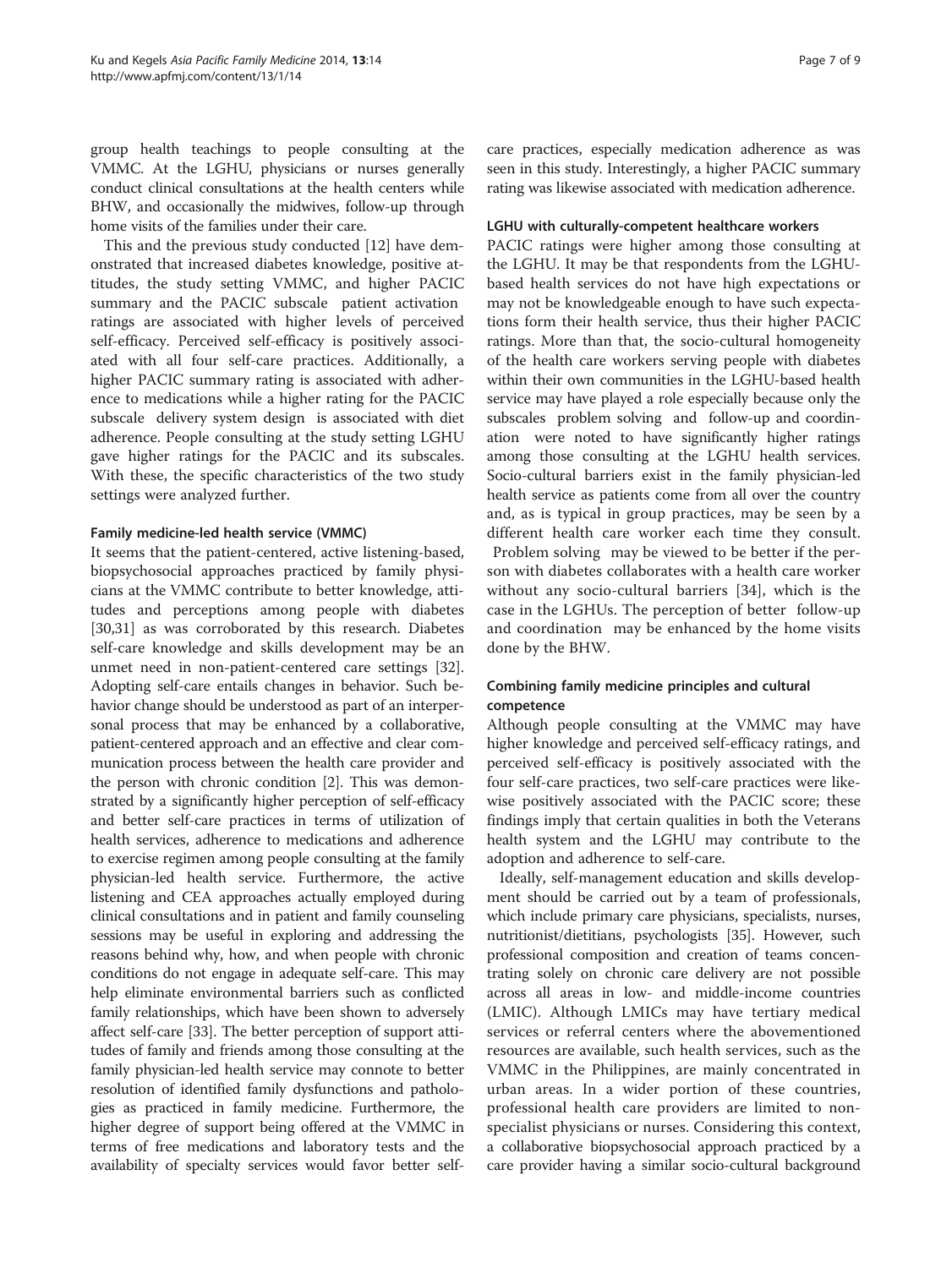group health teachings to people consulting at the VMMC. At the LGHU, physicians or nurses generally conduct clinical consultations at the health centers while BHW, and occasionally the midwives, follow-up through home visits of the families under their care.

This and the previous study conducted [[12](#page-8-0)] have demonstrated that increased diabetes knowledge, positive attitudes, the study setting VMMC, and higher PACIC summary and the PACIC subscale patient activation ratings are associated with higher levels of perceived self-efficacy. Perceived self-efficacy is positively associated with all four self-care practices. Additionally, a higher PACIC summary rating is associated with adherence to medications while a higher rating for the PACIC subscale delivery system design is associated with diet adherence. People consulting at the study setting LGHU gave higher ratings for the PACIC and its subscales. With these, the specific characteristics of the two study settings were analyzed further.

## Family medicine-led health service (VMMC)

It seems that the patient-centered, active listening-based, biopsychosocial approaches practiced by family physicians at the VMMC contribute to better knowledge, attitudes and perceptions among people with diabetes [[30,31\]](#page-8-0) as was corroborated by this research. Diabetes self-care knowledge and skills development may be an unmet need in non-patient-centered care settings [\[32](#page-8-0)]. Adopting self-care entails changes in behavior. Such behavior change should be understood as part of an interpersonal process that may be enhanced by a collaborative, patient-centered approach and an effective and clear communication process between the health care provider and the person with chronic condition [[2\]](#page-7-0). This was demonstrated by a significantly higher perception of self-efficacy and better self-care practices in terms of utilization of health services, adherence to medications and adherence to exercise regimen among people consulting at the family physician-led health service. Furthermore, the active listening and CEA approaches actually employed during clinical consultations and in patient and family counseling sessions may be useful in exploring and addressing the reasons behind why, how, and when people with chronic conditions do not engage in adequate self-care. This may help eliminate environmental barriers such as conflicted family relationships, which have been shown to adversely affect self-care [[33](#page-8-0)]. The better perception of support attitudes of family and friends among those consulting at the family physician-led health service may connote to better resolution of identified family dysfunctions and pathologies as practiced in family medicine. Furthermore, the higher degree of support being offered at the VMMC in terms of free medications and laboratory tests and the availability of specialty services would favor better self-

care practices, especially medication adherence as was seen in this study. Interestingly, a higher PACIC summary rating was likewise associated with medication adherence.

## LGHU with culturally-competent healthcare workers

PACIC ratings were higher among those consulting at the LGHU. It may be that respondents from the LGHUbased health services do not have high expectations or may not be knowledgeable enough to have such expectations form their health service, thus their higher PACIC ratings. More than that, the socio-cultural homogeneity of the health care workers serving people with diabetes within their own communities in the LGHU-based health service may have played a role especially because only the subscales problem solving and follow-up and coordination were noted to have significantly higher ratings among those consulting at the LGHU health services. Socio-cultural barriers exist in the family physician-led health service as patients come from all over the country and, as is typical in group practices, may be seen by a different health care worker each time they consult. Problem solving may be viewed to be better if the person with diabetes collaborates with a health care worker without any socio-cultural barriers [[34\]](#page-8-0), which is the case in the LGHUs. The perception of better follow-up and coordination may be enhanced by the home visits done by the BHW.

## Combining family medicine principles and cultural competence

Although people consulting at the VMMC may have higher knowledge and perceived self-efficacy ratings, and perceived self-efficacy is positively associated with the four self-care practices, two self-care practices were likewise positively associated with the PACIC score; these findings imply that certain qualities in both the Veterans health system and the LGHU may contribute to the adoption and adherence to self-care.

Ideally, self-management education and skills development should be carried out by a team of professionals, which include primary care physicians, specialists, nurses, nutritionist/dietitians, psychologists [[35](#page-8-0)]. However, such professional composition and creation of teams concentrating solely on chronic care delivery are not possible across all areas in low- and middle-income countries (LMIC). Although LMICs may have tertiary medical services or referral centers where the abovementioned resources are available, such health services, such as the VMMC in the Philippines, are mainly concentrated in urban areas. In a wider portion of these countries, professional health care providers are limited to nonspecialist physicians or nurses. Considering this context, a collaborative biopsychosocial approach practiced by a care provider having a similar socio-cultural background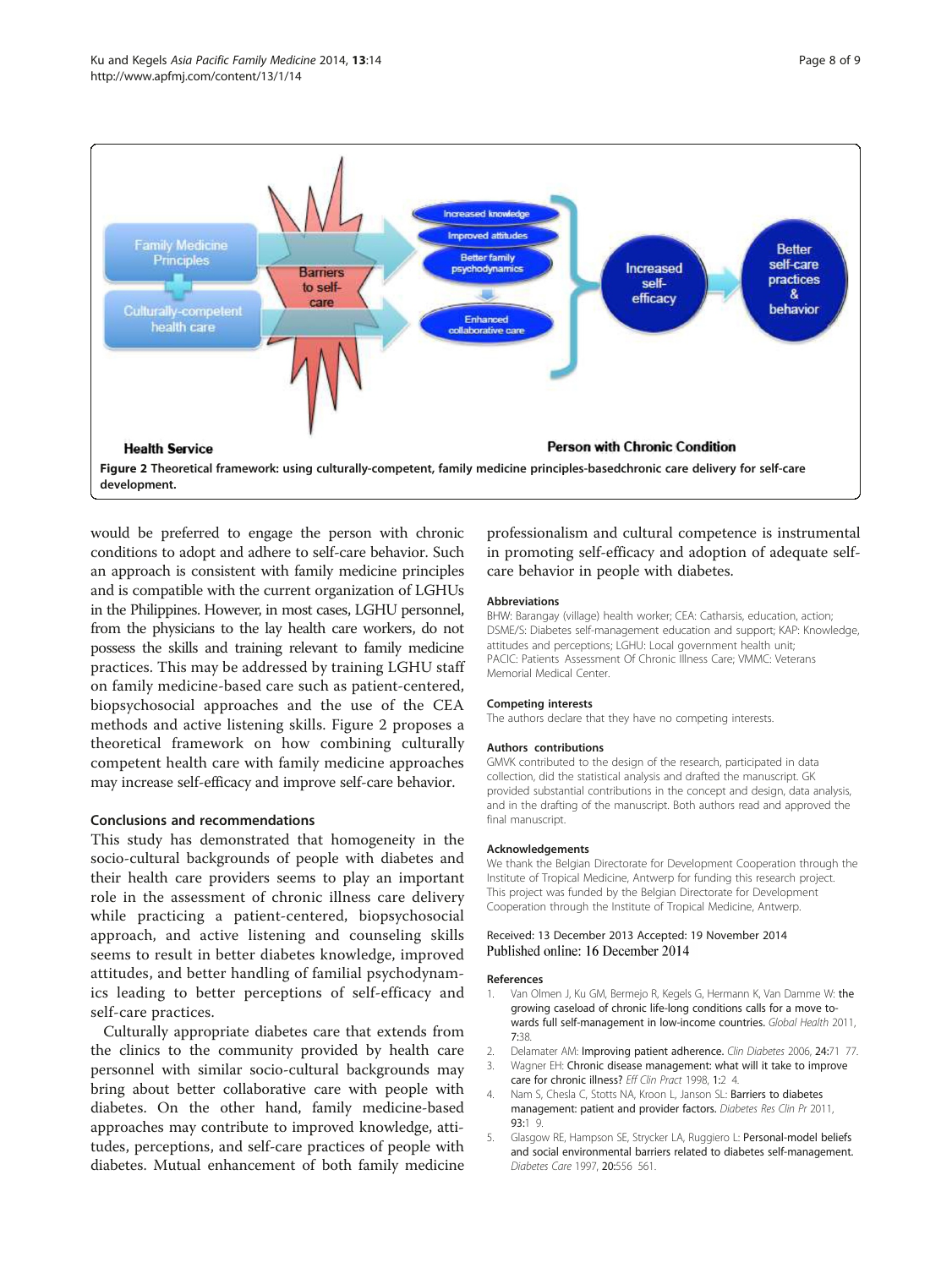<span id="page-7-0"></span>

would be preferred to engage the person with chronic conditions to adopt and adhere to self-care behavior. Such an approach is consistent with family medicine principles and is compatible with the current organization of LGHUs in the Philippines. However, in most cases, LGHU personnel, from the physicians to the lay health care workers, do not possess the skills and training relevant to family medicine practices. This may be addressed by training LGHU staff on family medicine-based care such as patient-centered, biopsychosocial approaches and the use of the CEA methods and active listening skills. Figure 2 proposes a theoretical framework on how combining culturally competent health care with family medicine approaches may increase self-efficacy and improve self-care behavior.

## Conclusions and recommendations

This study has demonstrated that homogeneity in the socio-cultural backgrounds of people with diabetes and their health care providers seems to play an important role in the assessment of chronic illness care delivery while practicing a patient-centered, biopsychosocial approach, and active listening and counseling skills seems to result in better diabetes knowledge, improved attitudes, and better handling of familial psychodynamics leading to better perceptions of self-efficacy and self-care practices.

Culturally appropriate diabetes care that extends from the clinics to the community provided by health care personnel with similar socio-cultural backgrounds may bring about better collaborative care with people with diabetes. On the other hand, family medicine-based approaches may contribute to improved knowledge, attitudes, perceptions, and self-care practices of people with diabetes. Mutual enhancement of both family medicine

professionalism and cultural competence is instrumental in promoting self-efficacy and adoption of adequate selfcare behavior in people with diabetes.

#### **Abbreviations**

BHW: Barangay (village) health worker; CEA: Catharsis, education, action; DSME/S: Diabetes self-management education and support; KAP: Knowledge, attitudes and perceptions; LGHU: Local government health unit; PACIC: Patients Assessment Of Chronic Illness Care; VMMC: Veterans Memorial Medical Center.

#### Competing interests

The authors declare that they have no competing interests.

#### Authors contributions

GMVK contributed to the design of the research, participated in data collection, did the statistical analysis and drafted the manuscript. GK provided substantial contributions in the concept and design, data analysis, and in the drafting of the manuscript. Both authors read and approved the final manuscript.

#### Acknowledgements

We thank the Belgian Directorate for Development Cooperation through the Institute of Tropical Medicine, Antwerp for funding this research project. This project was funded by the Belgian Directorate for Development Cooperation through the Institute of Tropical Medicine, Antwerp.

# Received: 13 December 2013 Accepted: 19 November 2014

#### References

- 1. Van Olmen J, Ku GM, Bermejo R, Kegels G, Hermann K, Van Damme W: the growing caseload of chronic life-long conditions calls for a move towards full self-management in low-income countries. Global Health 2011, 7:38.
- 2. Delamater AM: Improving patient adherence. Clin Diabetes 2006, 24:71 77. 3. Wagner EH: Chronic disease management: what will it take to improve
- care for chronic illness? Eff Clin Pract 1998, 1:2 4.
- 4. Nam S, Chesla C, Stotts NA, Kroon L, Janson SL: Barriers to diabetes management: patient and provider factors. Diabetes Res Clin Pr 2011, 93:1 9
- 5. Glasgow RE, Hampson SE, Strycker LA, Ruggiero L: Personal-model beliefs and social environmental barriers related to diabetes self-management. Diabetes Care 1997, 20:556 561.